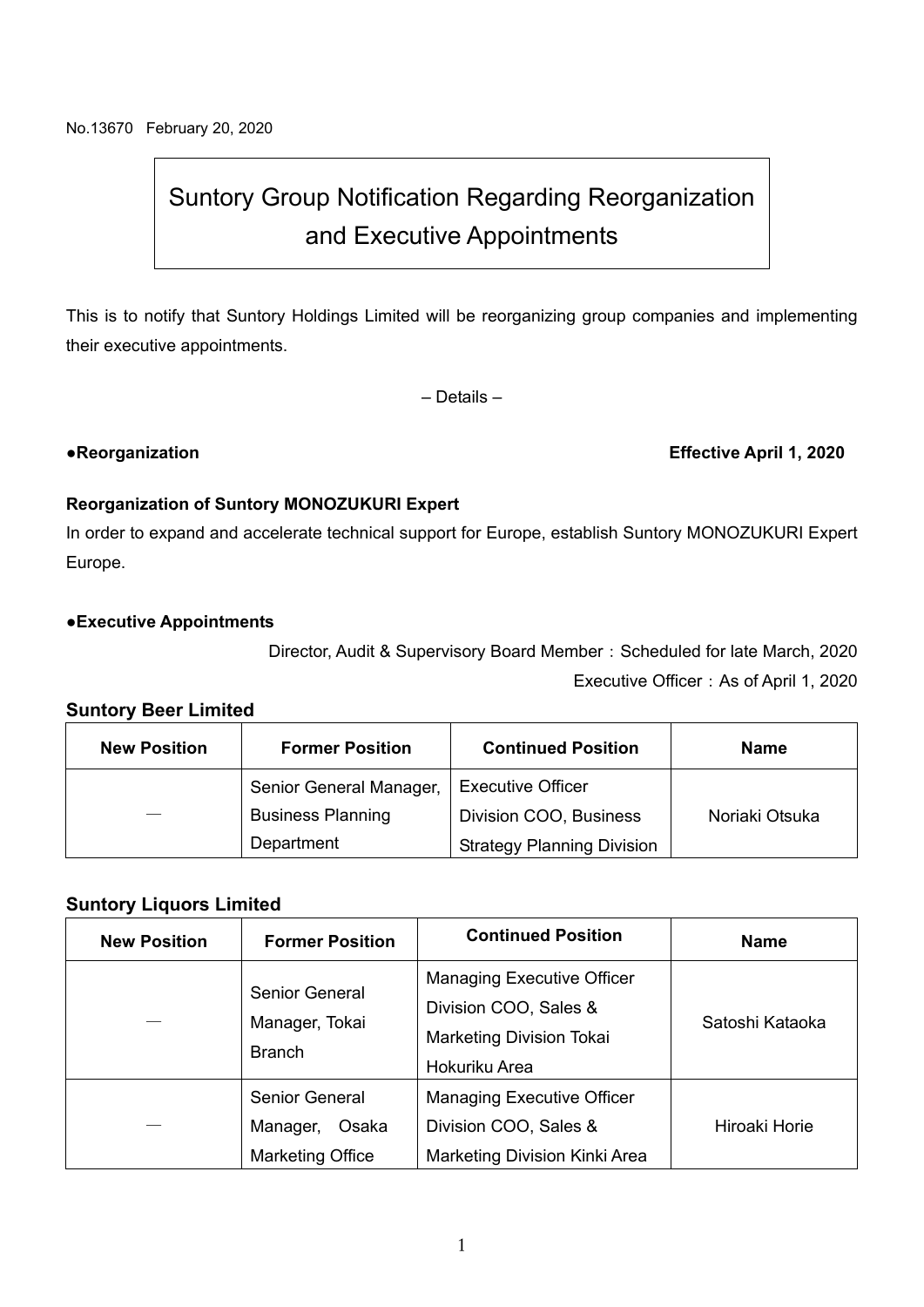# Suntory Group Notification Regarding Reorganization and Executive Appointments

This is to notify that Suntory Holdings Limited will be reorganizing group companies and implementing their executive appointments.

– Details –

#### ●**Reorganization Effective April 1, 2020**

#### **Reorganization of Suntory MONOZUKURI Expert**

In order to expand and accelerate technical support for Europe, establish Suntory MONOZUKURI Expert Europe.

#### **●Executive Appointments**

Director, Audit & Supervisory Board Member: Scheduled for late March, 2020

Executive Officer: As of April 1, 2020

### **Suntory Beer Limited**

| <b>New Position</b> | <b>Former Position</b>   | <b>Continued Position</b>         | Name           |
|---------------------|--------------------------|-----------------------------------|----------------|
|                     | Senior General Manager,  | <b>Executive Officer</b>          |                |
|                     | <b>Business Planning</b> | Division COO, Business            | Noriaki Otsuka |
|                     | Department               | <b>Strategy Planning Division</b> |                |

#### **Suntory Liquors Limited**

| <b>New Position</b> | <b>Former Position</b>                                         | <b>Continued Position</b>                                                                                      | <b>Name</b>     |
|---------------------|----------------------------------------------------------------|----------------------------------------------------------------------------------------------------------------|-----------------|
|                     | <b>Senior General</b><br>Manager, Tokai<br><b>Branch</b>       | <b>Managing Executive Officer</b><br>Division COO, Sales &<br><b>Marketing Division Tokai</b><br>Hokuriku Area | Satoshi Kataoka |
|                     | <b>Senior General</b><br>Osaka<br>Manager,<br>Marketing Office | <b>Managing Executive Officer</b><br>Division COO, Sales &<br><b>Marketing Division Kinki Area</b>             | Hiroaki Horie   |